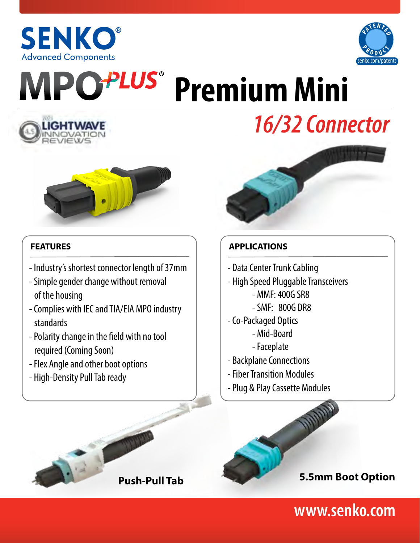



# **PLUS® Premium Mini**



# *16/32 Connector*



#### **FEATURES**

- Industry's shortest connector length of 37mm
- Simple gender change without removal of the housing
- Complies with IEC and TIA/EIA MPO industry standards
- Polarity change in the field with no tool required (Coming Soon)
- Flex Angle and other boot options
- High-Density Pull Tab ready



## **APPLICATIONS**

- Data Center Trunk Cabling
- High Speed Pluggable Transceivers
	- MMF: 400G SR8
	- SMF: 800G DR8
- Co-Packaged Optics
	- Mid-Board
	- Faceplate
- Backplane Connections
- Fiber Transition Modules
- Plug & Play Cassette Modules





## **www.senko.com**